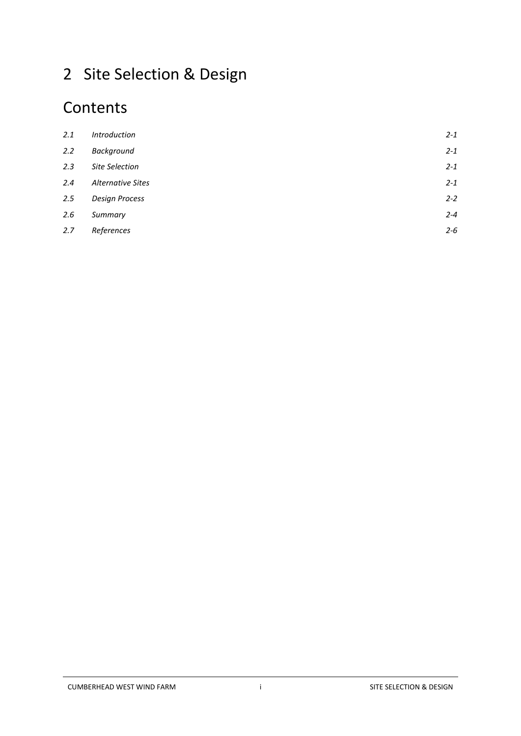# 2 Site Selection & Design

## **Contents**

| 2.1 | Introduction             | $2 - 1$ |
|-----|--------------------------|---------|
| 2.2 | Background               | $2 - 1$ |
| 2.3 | Site Selection           | $2 - 1$ |
| 2.4 | <b>Alternative Sites</b> | $2 - 1$ |
| 2.5 | <b>Design Process</b>    | $2 - 2$ |
| 2.6 | Summary                  | $2 - 4$ |
| 2.7 | References               | $2 - 6$ |
|     |                          |         |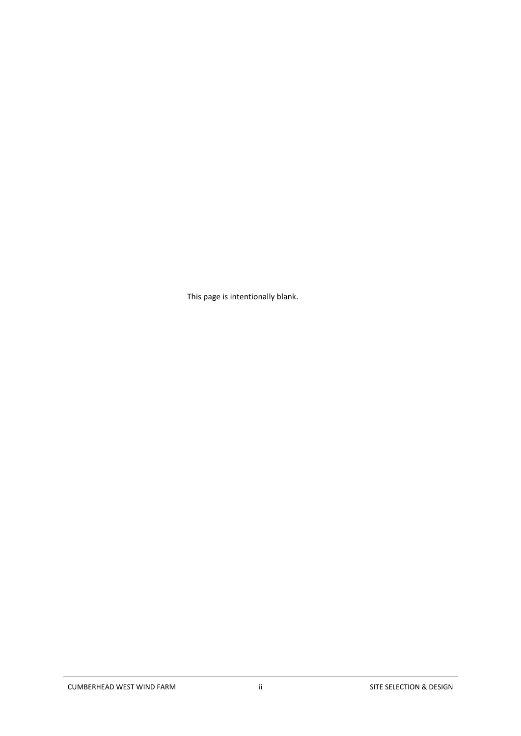This page is intentionally blank.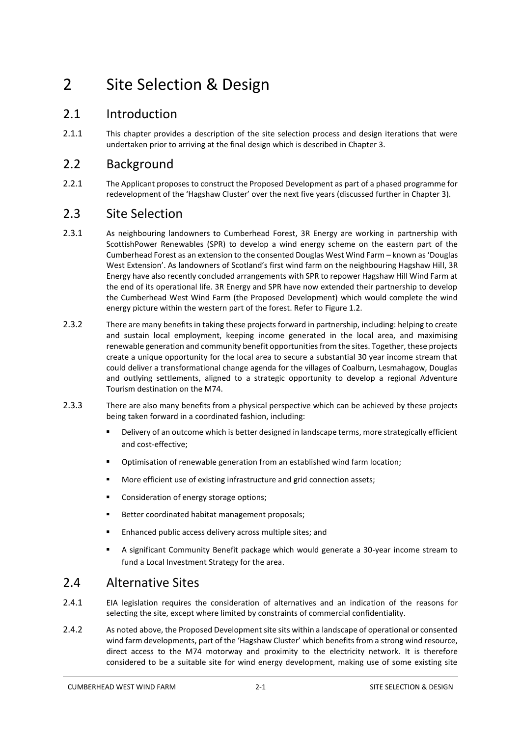## 2 Site Selection & Design

## <span id="page-2-0"></span>2.1 Introduction

2.1.1 This chapter provides a description of the site selection process and design iterations that were undertaken prior to arriving at the final design which is described in Chapter 3.

## <span id="page-2-1"></span>2.2 Background

2.2.1 The Applicant proposes to construct the Proposed Development as part of a phased programme for redevelopment of the 'Hagshaw Cluster' over the next five years (discussed further in Chapter 3).

## <span id="page-2-2"></span>2.3 Site Selection

- 2.3.1 As neighbouring landowners to Cumberhead Forest, 3R Energy are working in partnership with ScottishPower Renewables (SPR) to develop a wind energy scheme on the eastern part of the Cumberhead Forest as an extension to the consented Douglas West Wind Farm – known as 'Douglas West Extension'. As landowners of Scotland's first wind farm on the neighbouring Hagshaw Hill, 3R Energy have also recently concluded arrangements with SPR to repower Hagshaw Hill Wind Farm at the end of its operational life. 3R Energy and SPR have now extended their partnership to develop the Cumberhead West Wind Farm (the Proposed Development) which would complete the wind energy picture within the western part of the forest. Refer to Figure 1.2.
- 2.3.2 There are many benefits in taking these projects forward in partnership, including: helping to create and sustain local employment, keeping income generated in the local area, and maximising renewable generation and community benefit opportunities from the sites. Together, these projects create a unique opportunity for the local area to secure a substantial 30 year income stream that could deliver a transformational change agenda for the villages of Coalburn, Lesmahagow, Douglas and outlying settlements, aligned to a strategic opportunity to develop a regional Adventure Tourism destination on the M74.
- 2.3.3 There are also many benefits from a physical perspective which can be achieved by these projects being taken forward in a coordinated fashion, including:
	- **•** Delivery of an outcome which is better designed in landscape terms, more strategically efficient and cost-effective;
	- Optimisation of renewable generation from an established wind farm location:
	- More efficient use of existing infrastructure and grid connection assets;
	- Consideration of energy storage options;
	- Better coordinated habitat management proposals;
	- Enhanced public access delivery across multiple sites: and
	- A significant Community Benefit package which would generate a 30-year income stream to fund a Local Investment Strategy for the area.

## <span id="page-2-3"></span>2.4 Alternative Sites

- 2.4.1 EIA legislation requires the consideration of alternatives and an indication of the reasons for selecting the site, except where limited by constraints of commercial confidentiality.
- 2.4.2 As noted above, the Proposed Development site sits within a landscape of operational or consented wind farm developments, part of the 'Hagshaw Cluster' which benefits from a strong wind resource, direct access to the M74 motorway and proximity to the electricity network. It is therefore considered to be a suitable site for wind energy development, making use of some existing site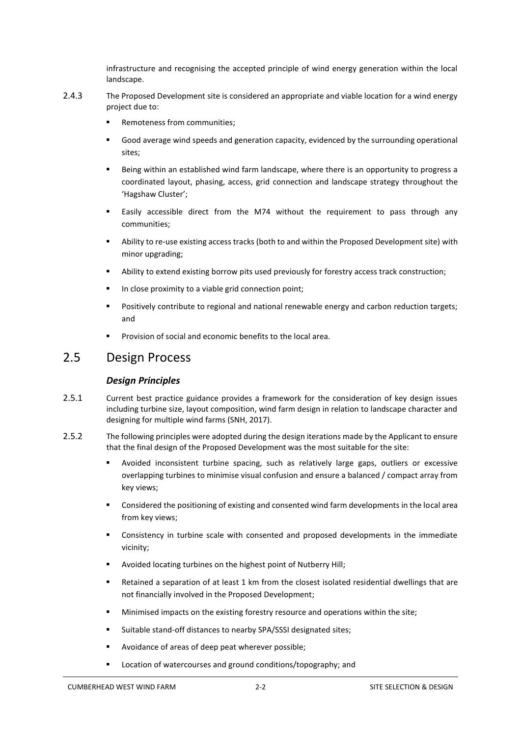infrastructure and recognising the accepted principle of wind energy generation within the local landscape.

- 2.4.3 The Proposed Development site is considered an appropriate and viable location for a wind energy project due to:
	- Remoteness from communities:
	- Good average wind speeds and generation capacity, evidenced by the surrounding operational sites;
	- Being within an established wind farm landscape, where there is an opportunity to progress a coordinated layout, phasing, access, grid connection and landscape strategy throughout the 'Hagshaw Cluster';
	- **Easily accessible direct from the M74 without the requirement to pass through any** communities;
	- Ability to re-use existing access tracks (both to and within the Proposed Development site) with minor upgrading;
	- Ability to extend existing borrow pits used previously for forestry access track construction;
	- In close proximity to a viable grid connection point;
	- Positively contribute to regional and national renewable energy and carbon reduction targets; and
	- Provision of social and economic benefits to the local area.

### <span id="page-3-0"></span>2.5 Design Process

#### *Design Principles*

- 2.5.1 Current best practice guidance provides a framework for the consideration of key design issues including turbine size, layout composition, wind farm design in relation to landscape character and designing for multiple wind farms (SNH, 2017).
- 2.5.2 The following principles were adopted during the design iterations made by the Applicant to ensure that the final design of the Proposed Development was the most suitable for the site:
	- Avoided inconsistent turbine spacing, such as relatively large gaps, outliers or excessive overlapping turbines to minimise visual confusion and ensure a balanced / compact array from key views;
	- Considered the positioning of existing and consented wind farm developments in the local area from key views;
	- Consistency in turbine scale with consented and proposed developments in the immediate vicinity;
	- Avoided locating turbines on the highest point of Nutberry Hill;
	- Retained a separation of at least 1 km from the closest isolated residential dwellings that are not financially involved in the Proposed Development;
	- **■** Minimised impacts on the existing forestry resource and operations within the site;
	- Suitable stand-off distances to nearby SPA/SSSI designated sites;
	- Avoidance of areas of deep peat wherever possible;
	- Location of watercourses and ground conditions/topography; and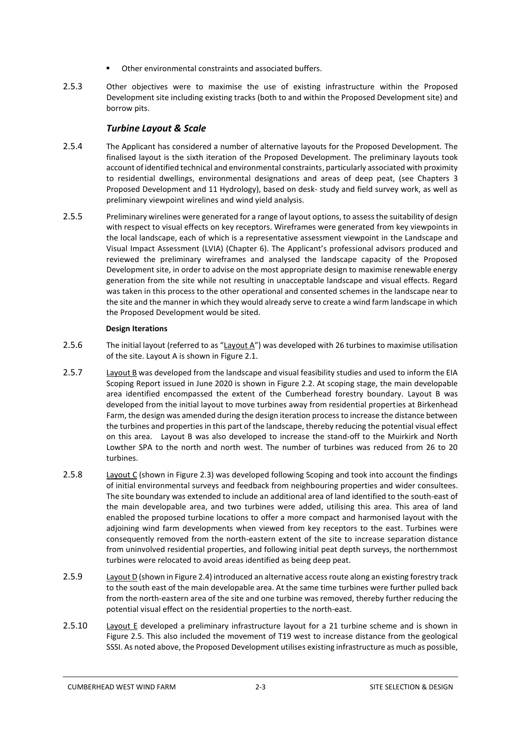- Other environmental constraints and associated buffers.
- 2.5.3 Other objectives were to maximise the use of existing infrastructure within the Proposed Development site including existing tracks (both to and within the Proposed Development site) and borrow pits.

#### *Turbine Layout & Scale*

- 2.5.4 The Applicant has considered a number of alternative layouts for the Proposed Development. The finalised layout is the sixth iteration of the Proposed Development. The preliminary layouts took account of identified technical and environmental constraints, particularly associated with proximity to residential dwellings, environmental designations and areas of deep peat, (see Chapters 3 Proposed Development and 11 Hydrology), based on desk- study and field survey work, as well as preliminary viewpoint wirelines and wind yield analysis.
- 2.5.5 Preliminary wirelines were generated for a range of layout options, to assess the suitability of design with respect to visual effects on key receptors. Wireframes were generated from key viewpoints in the local landscape, each of which is a representative assessment viewpoint in the Landscape and Visual Impact Assessment (LVIA) (Chapter 6). The Applicant's professional advisors produced and reviewed the preliminary wireframes and analysed the landscape capacity of the Proposed Development site, in order to advise on the most appropriate design to maximise renewable energy generation from the site while not resulting in unacceptable landscape and visual effects. Regard was taken in this process to the other operational and consented schemes in the landscape near to the site and the manner in which they would already serve to create a wind farm landscape in which the Proposed Development would be sited.

#### **Design Iterations**

- 2.5.6 The initial layout (referred to as "Layout A") was developed with 26 turbines to maximise utilisation of the site. Layout A is shown in Figure 2.1.
- 2.5.7 Layout B was developed from the landscape and visual feasibility studies and used to inform the EIA Scoping Report issued in June 2020 is shown in Figure 2.2. At scoping stage, the main developable area identified encompassed the extent of the Cumberhead forestry boundary. Layout B was developed from the initial layout to move turbines away from residential properties at Birkenhead Farm, the design was amended during the design iteration process to increase the distance between the turbines and properties in this part of the landscape, thereby reducing the potential visual effect on this area. Layout B was also developed to increase the stand-off to the Muirkirk and North Lowther SPA to the north and north west. The number of turbines was reduced from 26 to 20 turbines.
- 2.5.8 Layout C (shown in Figure 2.3) was developed following Scoping and took into account the findings of initial environmental surveys and feedback from neighbouring properties and wider consultees. The site boundary was extended to include an additional area of land identified to the south-east of the main developable area, and two turbines were added, utilising this area. This area of land enabled the proposed turbine locations to offer a more compact and harmonised layout with the adjoining wind farm developments when viewed from key receptors to the east. Turbines were consequently removed from the north-eastern extent of the site to increase separation distance from uninvolved residential properties, and following initial peat depth surveys, the northernmost turbines were relocated to avoid areas identified as being deep peat.
- 2.5.9 Layout D (shown in Figure 2.4) introduced an alternative access route along an existing forestry track to the south east of the main developable area. At the same time turbines were further pulled back from the north-eastern area of the site and one turbine was removed, thereby further reducing the potential visual effect on the residential properties to the north-east.
- 2.5.10 Layout E developed a preliminary infrastructure layout for a 21 turbine scheme and is shown in Figure 2.5. This also included the movement of T19 west to increase distance from the geological SSSI. As noted above, the Proposed Development utilises existing infrastructure as much as possible,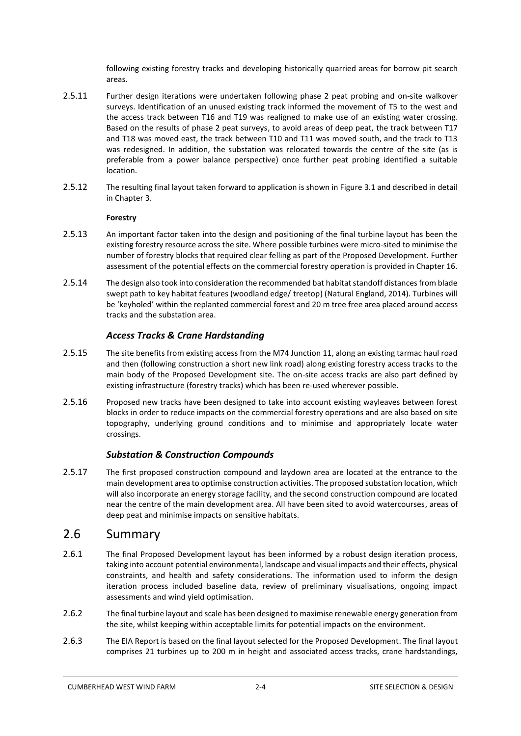following existing forestry tracks and developing historically quarried areas for borrow pit search areas.

- 2.5.11 Further design iterations were undertaken following phase 2 peat probing and on-site walkover surveys. Identification of an unused existing track informed the movement of T5 to the west and the access track between T16 and T19 was realigned to make use of an existing water crossing. Based on the results of phase 2 peat surveys, to avoid areas of deep peat, the track between T17 and T18 was moved east, the track between T10 and T11 was moved south, and the track to T13 was redesigned. In addition, the substation was relocated towards the centre of the site (as is preferable from a power balance perspective) once further peat probing identified a suitable location.
- 2.5.12 The resulting final layout taken forward to application is shown in Figure 3.1 and described in detail in Chapter 3.

#### **Forestry**

- 2.5.13 An important factor taken into the design and positioning of the final turbine layout has been the existing forestry resource across the site. Where possible turbines were micro-sited to minimise the number of forestry blocks that required clear felling as part of the Proposed Development. Further assessment of the potential effects on the commercial forestry operation is provided in Chapter 16.
- 2.5.14 The design also took into consideration the recommended bat habitat standoff distances from blade swept path to key habitat features (woodland edge/ treetop) (Natural England, 2014). Turbines will be 'keyholed' within the replanted commercial forest and 20 m tree free area placed around access tracks and the substation area.

#### *Access Tracks & Crane Hardstanding*

- 2.5.15 The site benefits from existing access from the M74 Junction 11, along an existing tarmac haul road and then (following construction a short new link road) along existing forestry access tracks to the main body of the Proposed Development site. The on-site access tracks are also part defined by existing infrastructure (forestry tracks) which has been re-used wherever possible.
- 2.5.16 Proposed new tracks have been designed to take into account existing wayleaves between forest blocks in order to reduce impacts on the commercial forestry operations and are also based on site topography, underlying ground conditions and to minimise and appropriately locate water crossings.

#### *Substation & Construction Compounds*

2.5.17 The first proposed construction compound and laydown area are located at the entrance to the main development area to optimise construction activities. The proposed substation location, which will also incorporate an energy storage facility, and the second construction compound are located near the centre of the main development area. All have been sited to avoid watercourses, areas of deep peat and minimise impacts on sensitive habitats.

### <span id="page-5-0"></span>2.6 Summary

- 2.6.1 The final Proposed Development layout has been informed by a robust design iteration process, taking into account potential environmental, landscape and visual impacts and their effects, physical constraints, and health and safety considerations. The information used to inform the design iteration process included baseline data, review of preliminary visualisations, ongoing impact assessments and wind yield optimisation.
- 2.6.2 The final turbine layout and scale has been designed to maximise renewable energy generation from the site, whilst keeping within acceptable limits for potential impacts on the environment.
- 2.6.3 The EIA Report is based on the final layout selected for the Proposed Development. The final layout comprises 21 turbines up to 200 m in height and associated access tracks, crane hardstandings,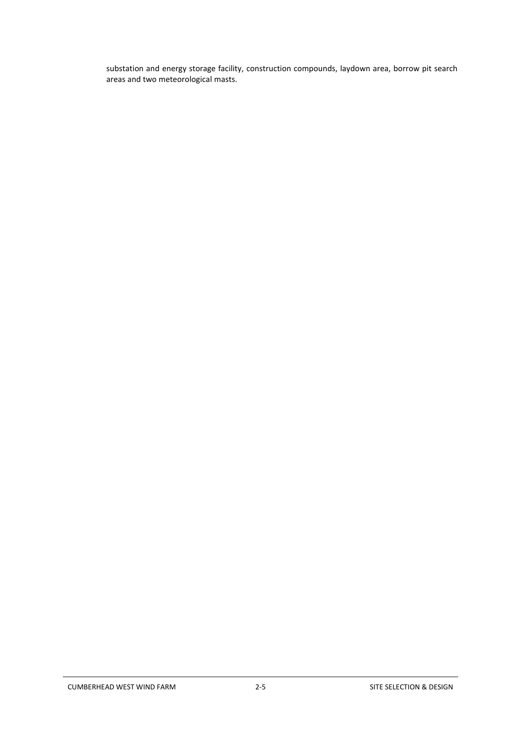substation and energy storage facility, construction compounds, laydown area, borrow pit search areas and two meteorological masts.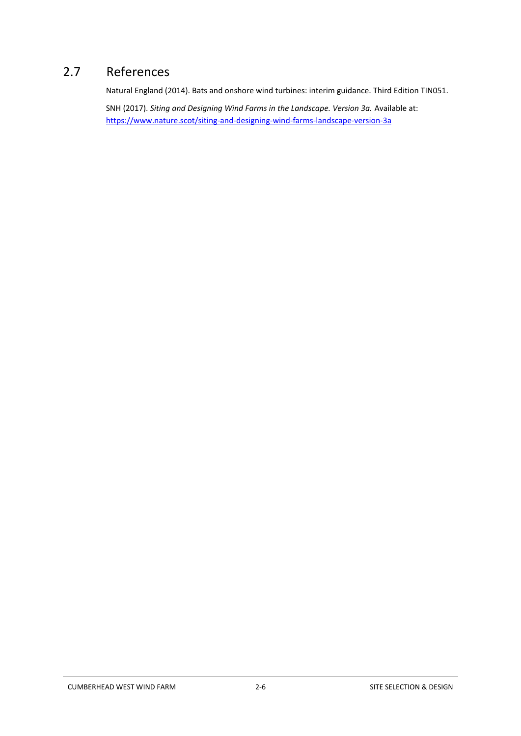## <span id="page-7-0"></span>2.7 References

Natural England (2014). Bats and onshore wind turbines: interim guidance. Third Edition TIN051.

SNH (2017). Siting and Designing Wind Farms in the Landscape. Version 3a. Available at: <https://www.nature.scot/siting-and-designing-wind-farms-landscape-version-3a>